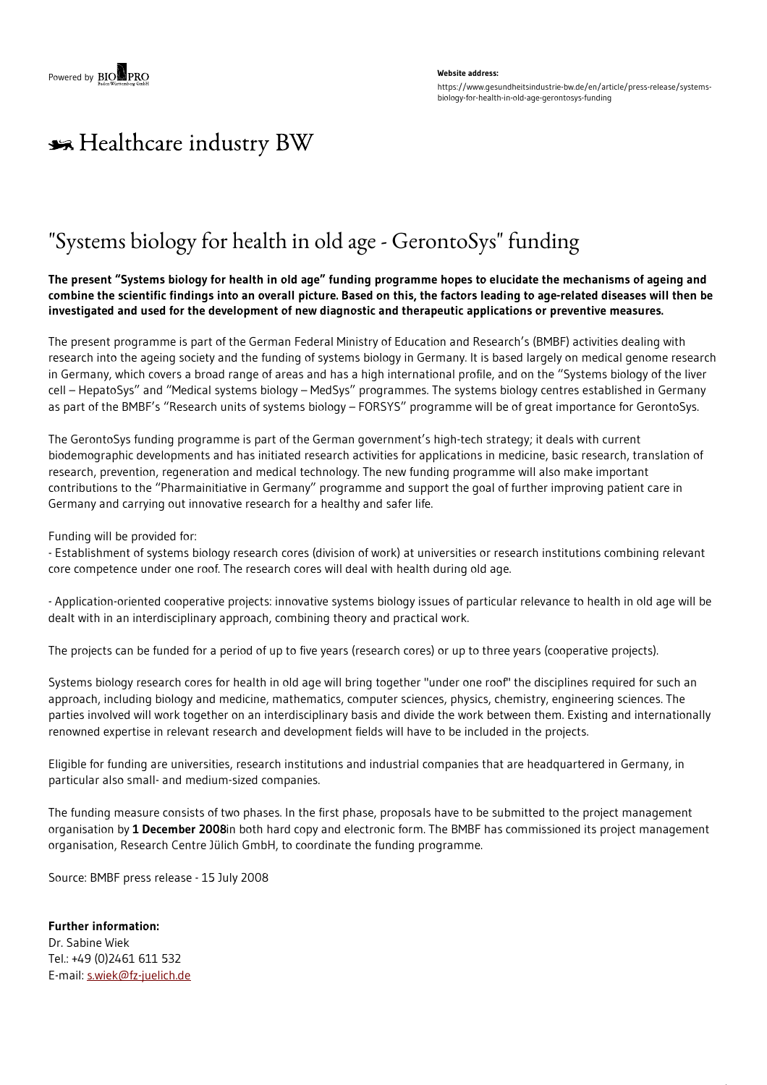## **Website address:** https://www.gesundheitsindustrie-bw.de/en/article/press-release/systemsbiology-for-health-in-old-age-gerontosys-funding

## \*\* Healthcare industry BW

## "Systems biology for health in old age - GerontoSys" funding

The present "Systems biology for health in old age" funding programme hopes to elucidate the mechanisms of ageing and combine the scientific findings into an overall picture. Based on this, the factors leading to age-related diseases will then be **investigated and used for the development of new diagnostic and therapeutic applications or preventive measures.**

The present programme is part of the German Federal Ministry of Education and Research's (BMBF) activities dealing with research into the ageing society and the funding of systems biology in Germany. It is based largely on medical genome research in Germany, which covers a broad range of areas and has a high international profile, and on the "Systems biology of the liver cell – HepatoSys" and "Medical systems biology – MedSys" programmes. The systems biology centres established in Germany as part of the BMBF's "Research units of systems biology – FORSYS" programme will be of great importance for GerontoSys.

The GerontoSys funding programme is part of the German government's high-tech strategy; it deals with current biodemographic developments and has initiated research activities for applications in medicine, basic research, translation of research, prevention, regeneration and medical technology. The new funding programme will also make important contributions to the "Pharmainitiative in Germany" programme and support the goal of further improving patient care in Germany and carrying out innovative research for a healthy and safer life.

Funding will be provided for:

- Establishment of systems biology research cores (division of work) at universities or research institutions combining relevant core competence under one roof. The research cores will deal with health during old age.

- Application-oriented cooperative projects: innovative systems biology issues of particular relevance to health in old age will be dealt with in an interdisciplinary approach, combining theory and practical work.

The projects can be funded for a period of up to five years (research cores) or up to three years (cooperative projects).

Systems biology research cores for health in old age will bring together "under one roof" the disciplines required for such an approach, including biology and medicine, mathematics, computer sciences, physics, chemistry, engineering sciences. The parties involved will work together on an interdisciplinary basis and divide the work between them. Existing and internationally renowned expertise in relevant research and development fields will have to be included in the projects.

Eligible for funding are universities, research institutions and industrial companies that are headquartered in Germany, in particular also small- and medium-sized companies.

The funding measure consists of two phases. In the first phase, proposals have to be submitted to the project management organisation by **1 December 2008**in both hard copy and electronic form. The BMBF has commissioned its project management organisation, Research Centre Jülich GmbH, to coordinate the funding programme.

Source: BMBF press release - 15 July 2008

**Further information:** Dr. Sabine Wiek Tel.: +49 (0)2461 611 532 E-mail: [s.wiek@fz-juelich.de](https://www.gesundheitsindustrie-bw.de/en/article/press-release/mail)